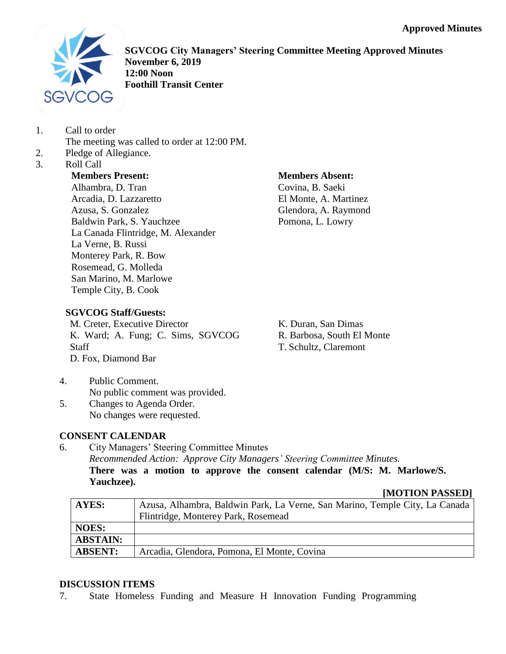

**SGVCOG City Managers' Steering Committee Meeting Approved Minutes November 6, 2019 12:00 Noon Foothill Transit Center**

- 1. Call to order
	- The meeting was called to order at 12:00 PM.
- 2. Pledge of Allegiance.
- 3. Roll Call

**Members Present:**

Alhambra, D. Tran Arcadia, D. Lazzaretto Azusa, S. Gonzalez Baldwin Park, S. Yauchzee La Canada Flintridge, M. Alexander La Verne, B. Russi Monterey Park, R. Bow Rosemead, G. Molleda San Marino, M. Marlowe Temple City, B. Cook

**Members Absent:**

Covina, B. Saeki El Monte, A. Martinez Glendora, A. Raymond Pomona, L. Lowry

# **SGVCOG Staff/Guests:**

M. Creter, Executive Director K. Ward; A. Fung; C. Sims, SGVCOG **Staff** D. Fox, Diamond Bar

K. Duran, San Dimas R. Barbosa, South El Monte T. Schultz, Claremont

- 4. Public Comment. No public comment was provided.
- 5. Changes to Agenda Order. No changes were requested.

# **CONSENT CALENDAR**

6. City Managers' Steering Committee Minutes *Recommended Action: Approve City Managers' Steering Committee Minutes.* **There was a motion to approve the consent calendar (M/S: M. Marlowe/S. Yauchzee).**

**[MOTION PASSED]**

| <b>AYES:</b>    | Azusa, Alhambra, Baldwin Park, La Verne, San Marino, Temple City, La Canada |
|-----------------|-----------------------------------------------------------------------------|
|                 | Flintridge, Monterey Park, Rosemead                                         |
| <b>NOES:</b>    |                                                                             |
| <b>ABSTAIN:</b> |                                                                             |
| <b>ABSENT:</b>  | Arcadia, Glendora, Pomona, El Monte, Covina                                 |

## **DISCUSSION ITEMS**

7. State Homeless Funding and Measure H Innovation Funding Programming